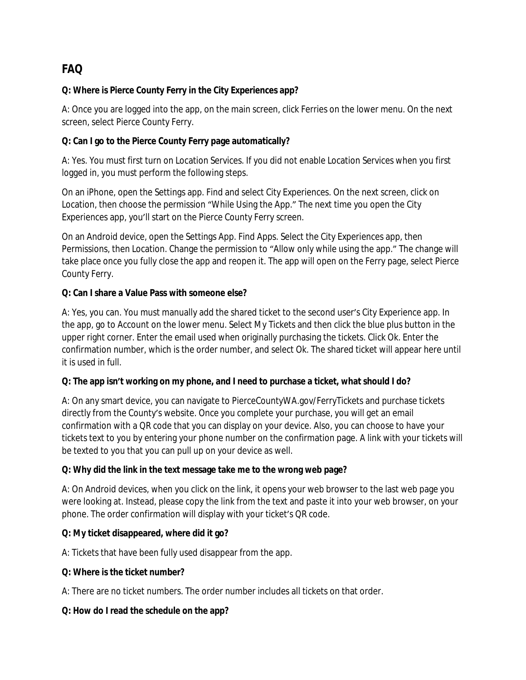# **FAQ**

## **Q: Where is Pierce County Ferry in the City Experiences app?**

A: Once you are logged into the app, on the main screen, click Ferries on the lower menu. On the next screen, select Pierce County Ferry.

## **Q: Can I go to the Pierce County Ferry page automatically?**

A: Yes. You must first turn on Location Services. If you did not enable Location Services when you first logged in, you must perform the following steps.

On an iPhone, open the Settings app. Find and select City Experiences. On the next screen, click on Location, then choose the permission "While Using the App." The next time you open the City Experiences app, you'll start on the Pierce County Ferry screen.

On an Android device, open the Settings App. Find Apps. Select the City Experiences app, then Permissions, then Location. Change the permission to "Allow only while using the app." The change will take place once you fully close the app and reopen it. The app will open on the Ferry page, select Pierce County Ferry.

### **Q: Can I share a Value Pass with someone else?**

A: Yes, you can. You must manually add the shared ticket to the second user's City Experience app. In the app, go to Account on the lower menu. Select My Tickets and then click the blue plus button in the upper right corner. Enter the email used when originally purchasing the tickets. Click Ok. Enter the confirmation number, which is the order number, and select Ok. The shared ticket will appear here until it is used in full.

### **Q: The app isn't working on my phone, and I need to purchase a ticket, what should I do?**

A: On any smart device, you can navigate to PierceCountyWA.gov/FerryTickets and purchase tickets directly from the County's website. Once you complete your purchase, you will get an email confirmation with a QR code that you can display on your device. Also, you can choose to have your tickets text to you by entering your phone number on the confirmation page. A link with your tickets will be texted to you that you can pull up on your device as well.

# **Q: Why did the link in the text message take me to the wrong web page?**

A: On Android devices, when you click on the link, it opens your web browser to the last web page you were looking at. Instead, please copy the link from the text and paste it into your web browser, on your phone. The order confirmation will display with your ticket's QR code.

### **Q: My ticket disappeared, where did it go?**

A: Tickets that have been fully used disappear from the app.

### **Q: Where is the ticket number?**

A: There are no ticket numbers. The order number includes all tickets on that order.

### **Q: How do I read the schedule on the app?**